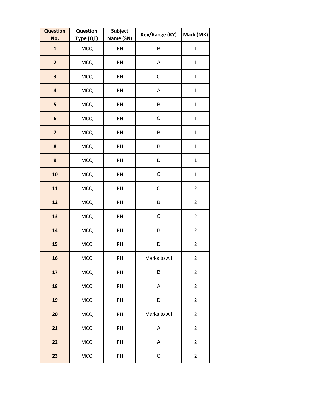| <b>Question</b><br>No.  | Question<br>Type (QT) | Subject<br>Name (SN) | Key/Range (KY) | Mark (MK)      |
|-------------------------|-----------------------|----------------------|----------------|----------------|
| $\mathbf{1}$            | <b>MCQ</b>            | PH                   | B              | $\mathbf{1}$   |
| $\overline{2}$          | <b>MCQ</b>            | PH                   | A              | $\mathbf{1}$   |
| $\overline{\mathbf{3}}$ | <b>MCQ</b>            | PH                   | $\mathsf C$    | $\mathbf{1}$   |
| $\overline{\mathbf{a}}$ | <b>MCQ</b>            | PH                   | $\mathsf A$    | $\mathbf{1}$   |
| 5                       | <b>MCQ</b>            | PH                   | B              | $\mathbf{1}$   |
| $\boldsymbol{6}$        | <b>MCQ</b>            | PH                   | C              | $\mathbf{1}$   |
| $\overline{\mathbf{z}}$ | <b>MCQ</b>            | PH                   | B              | $\mathbf 1$    |
| 8                       | <b>MCQ</b>            | PH                   | B              | $\mathbf{1}$   |
| $\mathbf{9}$            | <b>MCQ</b>            | PH                   | D              | $\mathbf{1}$   |
| 10                      | <b>MCQ</b>            | PH                   | $\mathsf C$    | $\mathbf 1$    |
| 11                      | <b>MCQ</b>            | PH                   | C              | $\overline{2}$ |
| 12                      | <b>MCQ</b>            | PH                   | B              | $\overline{2}$ |
| 13                      | <b>MCQ</b>            | PH                   | $\mathsf C$    | $\overline{2}$ |
| 14                      | <b>MCQ</b>            | PH                   | В              | $\overline{2}$ |
| 15                      | <b>MCQ</b>            | PH                   | D              | $\mathbf 2$    |
| 16                      | <b>MCQ</b>            | PH                   | Marks to All   | $\overline{2}$ |
| 17                      | <b>MCQ</b>            | PH                   | B              | $\overline{2}$ |
| 18                      | <b>MCQ</b>            | PH                   | A              | $\overline{2}$ |
| 19                      | <b>MCQ</b>            | PH                   | D              | $\overline{2}$ |
| 20                      | <b>MCQ</b>            | PH                   | Marks to All   | $\overline{2}$ |
| 21                      | <b>MCQ</b>            | PH                   | $\mathsf A$    | $\overline{2}$ |
| 22                      | <b>MCQ</b>            | PH                   | A              | $\overline{2}$ |
| 23                      | <b>MCQ</b>            | PH                   | $\mathsf C$    | $\overline{2}$ |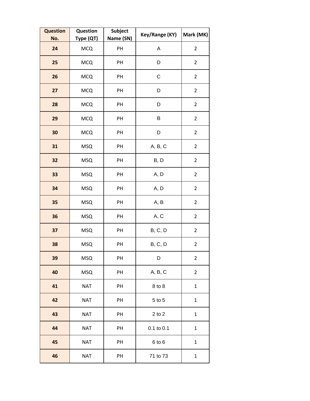| <b>Question</b><br>No. | Question<br>Type (QT) | Subject<br>Name (SN) | Key/Range (KY) | Mark (MK)      |
|------------------------|-----------------------|----------------------|----------------|----------------|
| 24                     | <b>MCQ</b>            | PH                   | A              | $\overline{2}$ |
| 25                     | <b>MCQ</b>            | PH                   | D              | $\overline{2}$ |
| 26                     | <b>MCQ</b>            | PH                   | $\mathsf C$    | $\overline{2}$ |
| 27                     | <b>MCQ</b>            | PH                   | D              | $\overline{2}$ |
| 28                     | <b>MCQ</b>            | PH                   | D              | $\overline{2}$ |
| 29                     | <b>MCQ</b>            | PH                   | B              | $\overline{2}$ |
| 30                     | <b>MCQ</b>            | PH                   | D              | $\overline{2}$ |
| 31                     | <b>MSQ</b>            | PH                   | A, B, C        | $\overline{2}$ |
| 32                     | <b>MSQ</b>            | PH                   | B, D           | $\overline{2}$ |
| 33                     | <b>MSQ</b>            | PH                   | A, D           | $\overline{2}$ |
| 34                     | <b>MSQ</b>            | PH                   | A, D           | $\overline{2}$ |
| 35                     | <b>MSQ</b>            | PH                   | A, B           | $\overline{2}$ |
| 36                     | <b>MSQ</b>            | PH                   | A, C           | $\overline{2}$ |
| 37                     | <b>MSQ</b>            | PH                   | B, C, D        | $\overline{2}$ |
| 38                     | <b>MSQ</b>            | PH                   | B, C, D        | $\overline{2}$ |
| 39                     | <b>MSQ</b>            | PH                   | D              | $\overline{2}$ |
| 40                     | <b>MSQ</b>            | PH                   | A, B, C        | $\overline{2}$ |
| 41                     | <b>NAT</b>            | PH                   | 8 to 8         | $\mathbf 1$    |
| 42                     | <b>NAT</b>            | PH                   | 5 to 5         | $\mathbf{1}$   |
| 43                     | <b>NAT</b>            | PH                   | $2$ to $2$     | $\mathbf{1}$   |
| 44                     | <b>NAT</b>            | PH                   | 0.1 to 0.1     | $\mathbf{1}$   |
| 45                     | <b>NAT</b>            | PH                   | 6 to 6         | $\mathbf 1$    |
| 46                     | <b>NAT</b>            | PH                   | 71 to 73       | $\mathbf{1}$   |